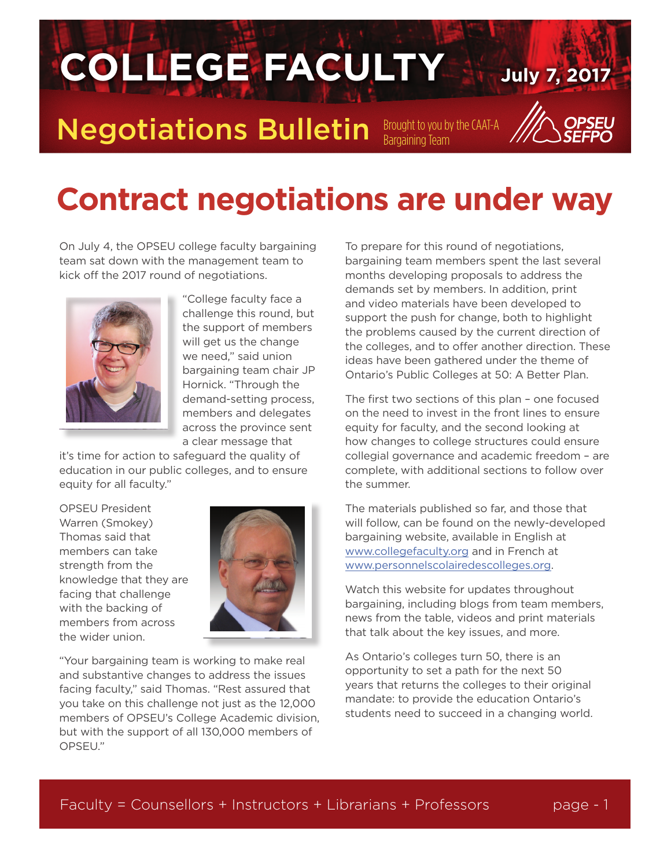

## **Contract negotiations are under way**

On July 4, the OPSEU college faculty bargaining team sat down with the management team to kick off the 2017 round of negotiations.



"College faculty face a challenge this round, but the support of members will get us the change we need," said union bargaining team chair JP Hornick. "Through the demand-setting process, members and delegates across the province sent a clear message that

it's time for action to safeguard the quality of education in our public colleges, and to ensure equity for all faculty."

OPSEU President Warren (Smokey) Thomas said that members can take strength from the knowledge that they are facing that challenge with the backing of members from across the wider union.



"Your bargaining team is working to make real and substantive changes to address the issues facing faculty," said Thomas. "Rest assured that you take on this challenge not just as the 12,000 members of OPSEU's College Academic division, but with the support of all 130,000 members of OPSEU."

To prepare for this round of negotiations, bargaining team members spent the last several months developing proposals to address the demands set by members. In addition, print and video materials have been developed to support the push for change, both to highlight the problems caused by the current direction of the colleges, and to offer another direction. These ideas have been gathered under the theme of Ontario's Public Colleges at 50: A Better Plan.

The first two sections of this plan – one focused on the need to invest in the front lines to ensure equity for faculty, and the second looking at how changes to college structures could ensure collegial governance and academic freedom – are complete, with additional sections to follow over the summer.

The materials published so far, and those that will follow, can be found on the newly-developed bargaining website, available in English at [www.collegefaculty.org](http://www.collegefaculty.org/) and in French at [www.personnelscolairedescolleges.org.](http://www.personnelscolairedescolleges.org/)

Watch this website for updates throughout bargaining, including blogs from team members, news from the table, videos and print materials that talk about the key issues, and more.

As Ontario's colleges turn 50, there is an opportunity to set a path for the next 50 years that returns the colleges to their original mandate: to provide the education Ontario's students need to succeed in a changing world.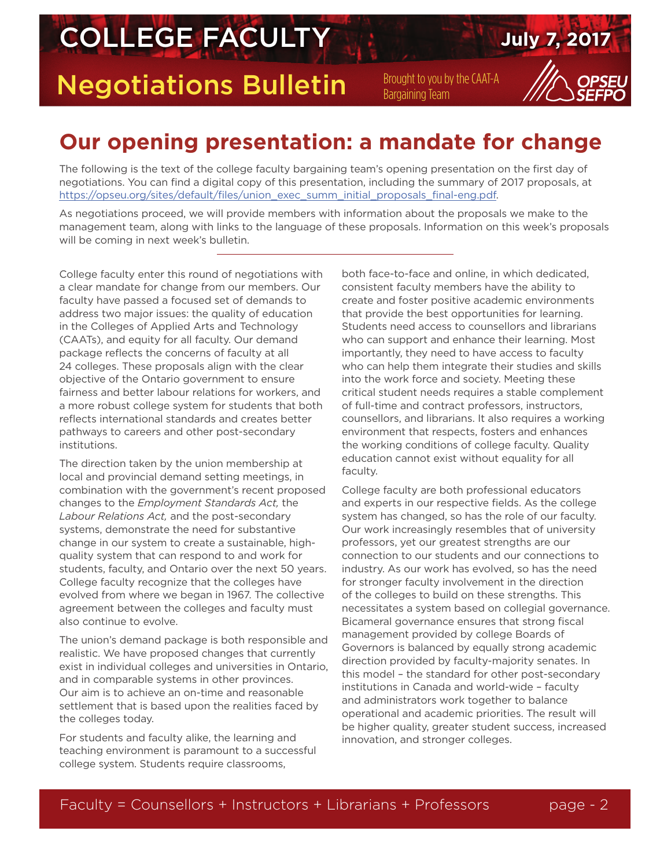## **COLLEGE FACULTY July 7, 2017**

Negotiations Bulletin Brought to you by the CAAT-A

### **Our opening presentation: a mandate for change**

The following is the text of the college faculty bargaining team's opening presentation on the first day of negotiations. You can find a digital copy of this presentation, including the summary of 2017 proposals, at [https://opseu.org/sites/default/files/union\\_exec\\_summ\\_initial\\_proposals\\_final-eng.pdf.](https://opseu.org/sites/default/files/union_exec_summ_initial_proposals_final-eng.pdf)

As negotiations proceed, we will provide members with information about the proposals we make to the management team, along with links to the language of these proposals. Information on this week's proposals will be coming in next week's bulletin.

College faculty enter this round of negotiations with a clear mandate for change from our members. Our faculty have passed a focused set of demands to address two major issues: the quality of education in the Colleges of Applied Arts and Technology (CAATs), and equity for all faculty. Our demand package reflects the concerns of faculty at all 24 colleges. These proposals align with the clear objective of the Ontario government to ensure fairness and better labour relations for workers, and a more robust college system for students that both reflects international standards and creates better pathways to careers and other post-secondary institutions.

The direction taken by the union membership at local and provincial demand setting meetings, in combination with the government's recent proposed changes to the *Employment Standards Act,* the *Labour Relations Act,* and the post-secondary systems, demonstrate the need for substantive change in our system to create a sustainable, highquality system that can respond to and work for students, faculty, and Ontario over the next 50 years. College faculty recognize that the colleges have evolved from where we began in 1967. The collective agreement between the colleges and faculty must also continue to evolve.

The union's demand package is both responsible and realistic. We have proposed changes that currently exist in individual colleges and universities in Ontario, and in comparable systems in other provinces. Our aim is to achieve an on-time and reasonable settlement that is based upon the realities faced by the colleges today.

For students and faculty alike, the learning and teaching environment is paramount to a successful college system. Students require classrooms,

both face-to-face and online, in which dedicated, consistent faculty members have the ability to create and foster positive academic environments that provide the best opportunities for learning. Students need access to counsellors and librarians who can support and enhance their learning. Most importantly, they need to have access to faculty who can help them integrate their studies and skills into the work force and society. Meeting these critical student needs requires a stable complement of full-time and contract professors, instructors, counsellors, and librarians. It also requires a working environment that respects, fosters and enhances the working conditions of college faculty. Quality education cannot exist without equality for all faculty.

College faculty are both professional educators and experts in our respective fields. As the college system has changed, so has the role of our faculty. Our work increasingly resembles that of university professors, yet our greatest strengths are our connection to our students and our connections to industry. As our work has evolved, so has the need for stronger faculty involvement in the direction of the colleges to build on these strengths. This necessitates a system based on collegial governance. Bicameral governance ensures that strong fiscal management provided by college Boards of Governors is balanced by equally strong academic direction provided by faculty-majority senates. In this model – the standard for other post-secondary institutions in Canada and world-wide – faculty and administrators work together to balance operational and academic priorities. The result will be higher quality, greater student success, increased innovation, and stronger colleges.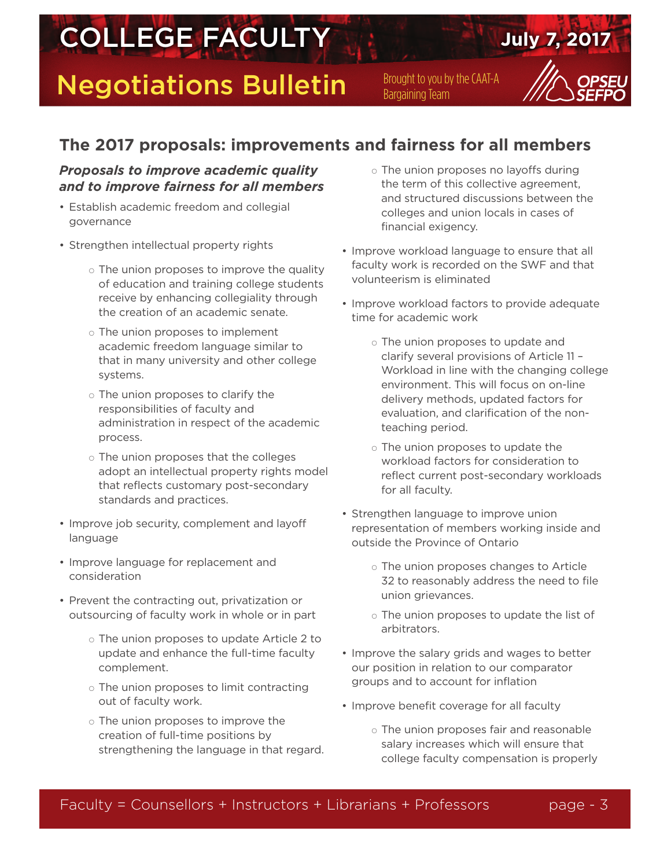# **COLLEGE FACULTY AND SUIT SERVICE OF STRAIGHT AND SUITE SERVICE OF STRAIGHT AND THE STRAIGHT OF STRAIGHT AND THE STRAIGHT AND THE STRAIGHT AND THE STRAIGHT AND THE STRAIGHT AND THE STRAIGHT AND THE STRAIGHT AND THE STRAIGH**

Negotiations Bulletin Brought to you by the CAAT-A

### **The 2017 proposals: improvements and fairness for all members**

#### *Proposals to improve academic quality and to improve fairness for all members*

- Establish academic freedom and collegial governance
- Strengthen intellectual property rights
	- $\circ$  The union proposes to improve the quality of education and training college students receive by enhancing collegiality through the creation of an academic senate.
	- $\circ$  The union proposes to implement academic freedom language similar to that in many university and other college systems.
	- $\circ$  The union proposes to clarify the responsibilities of faculty and administration in respect of the academic process.
	- $\circ$  The union proposes that the colleges adopt an intellectual property rights model that reflects customary post-secondary standards and practices.
- Improve job security, complement and layoff language
- Improve language for replacement and consideration
- Prevent the contracting out, privatization or outsourcing of faculty work in whole or in part
	- $\circ$  The union proposes to update Article 2 to update and enhance the full-time faculty complement.
	- $\circ$  The union proposes to limit contracting out of faculty work.
	- $\circ$  The union proposes to improve the creation of full-time positions by strengthening the language in that regard.
- $\circ$  The union proposes no layoffs during the term of this collective agreement, and structured discussions between the colleges and union locals in cases of financial exigency.
- Improve workload language to ensure that all faculty work is recorded on the SWF and that volunteerism is eliminated
- Improve workload factors to provide adequate time for academic work
	- $\circ$  The union proposes to update and clarify several provisions of Article 11 – Workload in line with the changing college environment. This will focus on on-line delivery methods, updated factors for evaluation, and clarification of the nonteaching period.
	- $\circ$  The union proposes to update the workload factors for consideration to reflect current post-secondary workloads for all faculty.
- Strengthen language to improve union representation of members working inside and outside the Province of Ontario
	- $\circ$  The union proposes changes to Article 32 to reasonably address the need to file union grievances.
	- $\circ$  The union proposes to update the list of arbitrators.
- Improve the salary grids and wages to better our position in relation to our comparator groups and to account for inflation
- Improve benefit coverage for all faculty
	- $\circ$  The union proposes fair and reasonable salary increases which will ensure that college faculty compensation is properly